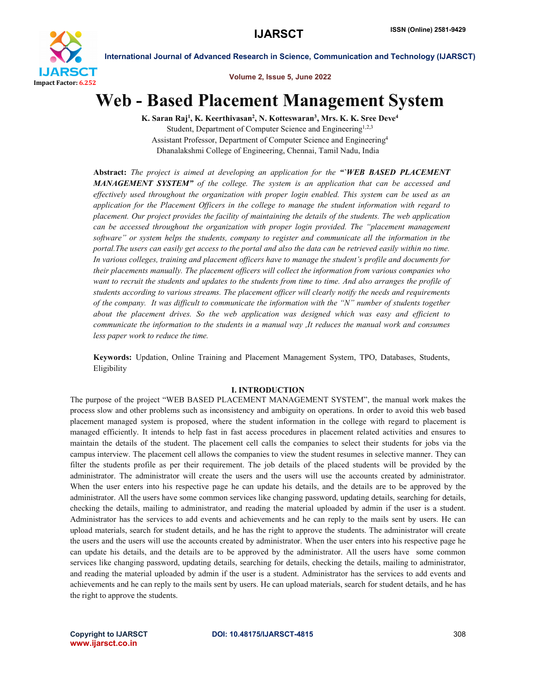

Volume 2, Issue 5, June 2022

# Web - Based Placement Management System

K. Saran Raj<sup>1</sup>, K. Keerthivasan<sup>2</sup>, N. Kotteswaran<sup>3</sup>, Mrs. K. K. Sree Deve<sup>4</sup> Student, Department of Computer Science and Engineering<sup>1,2,3</sup> Assistant Professor, Department of Computer Science and Engineering4 Dhanalakshmi College of Engineering, Chennai, Tamil Nadu, India

Abstract: *The project is aimed at developing an application for the "`WEB BASED PLACEMENT MANAGEMENT SYSTEM" of the college. The system is an application that can be accessed and effectively used throughout the organization with proper login enabled. This system can be used as an application for the Placement Officers in the college to manage the student information with regard to placement. Our project provides the facility of maintaining the details of the students. The web application can be accessed throughout the organization with proper login provided. The "placement management software" or system helps the students, company to register and communicate all the information in the portal. The users can easily get access to the portal and also the data can be retrieved easily within no time.* In various colleges, training and placement officers have to manage the *student's profile and documents for their placements manually. The placement officers will collect the information from various companies who want to recruit the students and updates to the students from time to time. And also arranges the profile of students according to various streams. The placement officer will clearly notify the needs and requirements of the company. It was difficult to communicate the information with the "N" number of students together about the placement drives. So the web application was designed which was easy and efficient to communicate the information to the students in a manual way ,It reduces the manual work and consumes less paper work to reduce the time.*

Keywords: Updation, Online Training and Placement Management System, TPO, Databases, Students, Eligibility

# I. INTRODUCTION

The purpose of the project "WEB BASED PLACEMENT MANAGEMENT SYSTEM", the manual work makes the process slow and other problems such as inconsistency and ambiguity on operations. In order to avoid this web based placement managed system is proposed, where the student information in the college with regard to placement is managed efficiently. It intends to help fast in fast access procedures in placement related activities and ensures to maintain the details of the student. The placement cell calls the companies to select their students for jobs via the campus interview. The placement cell allows the companies to view the student resumes in selective manner. They can filter the students profile as per their requirement. The job details of the placed students will be provided by the administrator. The administrator will create the users and the users will use the accounts created by administrator. When the user enters into his respective page he can update his details, and the details are to be approved by the administrator. All the users have some common services like changing password, updating details, searching for details, checking the details, mailing to administrator, and reading the material uploaded by admin if the user is a student. Administrator has the services to add events and achievements and he can reply to the mails sent by users. He can upload materials, search for student details, and he has the right to approve the students. The administrator will create the users and the users will use the accounts created by administrator. When the user enters into his respective page he can update his details, and the details are to be approved by the administrator. All the users have some common services like changing password, updating details, searching for details, checking the details, mailing to administrator, and reading the material uploaded by admin if the user is a student. Administrator has the services to add events and achievements and he can reply to the mails sent by users. He can upload materials, search for student details, and he has the right to approve the students.

www.ijarsct.co.in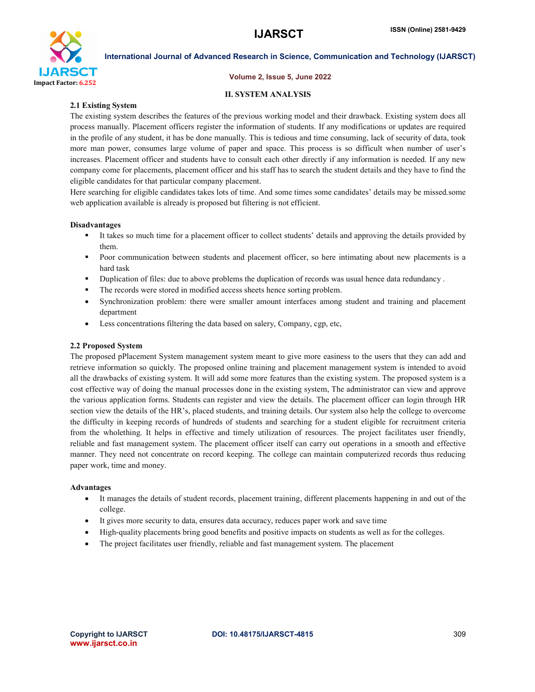

# Volume 2, Issue 5, June 2022

# II. SYSTEM ANALYSIS

# 2.1 Existing System

The existing system describes the features of the previous working model and their drawback. Existing system does all process manually. Placement officers register the information of students. If any modifications or updates are required in the profile of any student, it has be done manually. This is tedious and time consuming, lack of security of data, took more man power, consumes large volume of paper and space. This process is so difficult when number of user's increases. Placement officer and students have to consult each other directly if any information is needed. If any new company come for placements, placement officer and his staff has to search the student details and they have to find the eligible candidates for that particular company placement.

Here searching for eligible candidates takes lots of time. And some times some candidates' details may be missed.some web application available is already is proposed but filtering is not efficient.

# Disadvantages

- It takes so much time for a placement officer to collect students' details and approving the details provided by them.
- **Poor communication between students and placement officer, so here intimating about new placements is a** hard task
- Duplication of files: due to above problems the duplication of records was usual hence data redundancy .
- The records were stored in modified access sheets hence sorting problem.
- Synchronization problem: there were smaller amount interfaces among student and training and placement department
- Less concentrations filtering the data based on salery, Company, cgp, etc,

# 2.2 Proposed System

The proposed pPlacement System management system meant to give more easiness to the users that they can add and retrieve information so quickly. The proposed online training and placement management system is intended to avoid all the drawbacks of existing system. It will add some more features than the existing system. The proposed system is a cost effective way of doing the manual processes done in the existing system, The administrator can view and approve the various application forms. Students can register and view the details. The placement officer can login through HR section view the details of the HR's, placed students, and training details. Our system also help the college to overcome the difficulty in keeping records of hundreds of students and searching for a student eligible for recruitment criteria from the wholething. It helps in effective and timely utilization of resources. The project facilitates user friendly, reliable and fast management system. The placement officer itself can carry out operations in a smooth and effective manner. They need not concentrate on record keeping. The college can maintain computerized records thus reducing paper work, time and money.

# Advantages

- It manages the details of student records, placement training, different placements happening in and out of the college.
- It gives more security to data, ensures data accuracy, reduces paper work and save time
- High-quality placements bring good benefits and positive impacts on students as well as for the colleges.
- The project facilitates user friendly, reliable and fast management system. The placement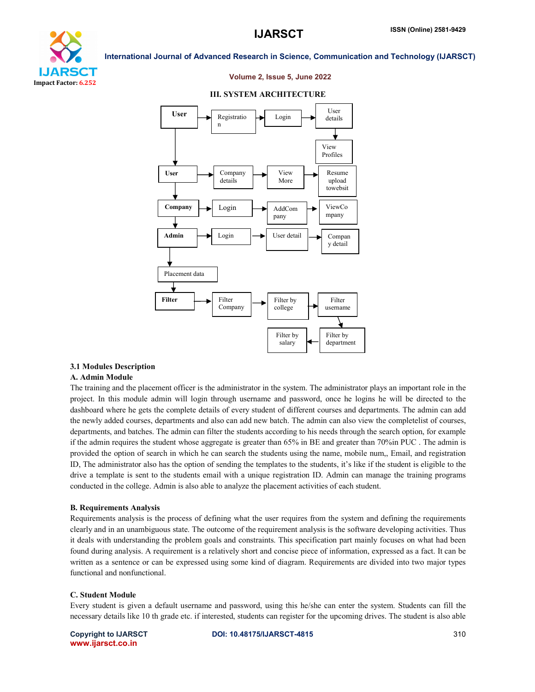

# Volume 2, Issue 5, June 2022

#### User View Profiles User Registratio n Login User details Company details View More Company  $\rightarrow$  Login  $\rightarrow$  AddCom pany ViewCo mpany Compan y detail Admin  $\longrightarrow$  Login  $\longrightarrow$  User detail Placement data Filter username Filter by college Filter **Company** Filter Resume upload towebsit e Filter by department Filter by salary

### III. SYSTEM ARCHITECTURE

### 3.1 Modules Description

### A. Admin Module

The training and the placement officer is the administrator in the system. The administrator plays an important role in the project. In this module admin will login through username and password, once he logins he will be directed to the dashboard where he gets the complete details of every student of different courses and departments. The admin can add the newly added courses, departments and also can add new batch. The admin can also view the completelist of courses, departments, and batches. The admin can filter the students according to his needs through the search option, for example if the admin requires the student whose aggregate is greater than 65% in BE and greater than 70%in PUC . The admin is provided the option of search in which he can search the students using the name, mobile num,, Email, and registration ID, The administrator also has the option of sending the templates to the students, it's like if the student is eligible to the drive a template is sent to the students email with a unique registration ID. Admin can manage the training programs conducted in the college. Admin is also able to analyze the placement activities of each student.

### B. Requirements Analysis

Requirements analysis is the process of defining what the user requires from the system and defining the requirements clearly and in an unambiguous state. The outcome of the requirement analysis is the software developing activities. Thus it deals with understanding the problem goals and constraints. This specification part mainly focuses on what had been found during analysis. A requirement is a relatively short and concise piece of information, expressed as a fact. It can be written as a sentence or can be expressed using some kind of diagram. Requirements are divided into two major types functional and nonfunctional.

### C. Student Module

Every student is given a default username and password, using this he/she can enter the system. Students can fill the necessary details like 10 th grade etc. if interested, students can register for the upcoming drives. The student is also able

www.ijarsct.co.in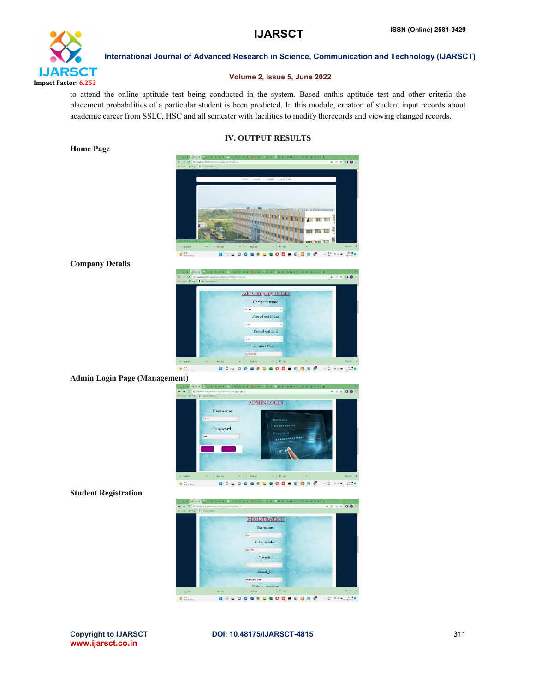

# Volume 2, Issue 5, June 2022

to attend the online aptitude test being conducted in the system. Based onthis aptitude test and other criteria the placement probabilities of a particular student is been predicted. In this module, creation of student input records about academic career from SSLC, HSC and all semester with facilities to modify therecords and viewing changed records.

# IV. OUTPUT RESULTS

. . . . . REAR ENGINEERING  $\frac{60}{100}$   $\otimes$   $\otimes$   $\otimes$   $\frac{10}{10000}$  $Q =$  $\circ$ **SONSONS**  $O<sub>B</sub>$  $e^x$  $\bullet$ 

Company Details

Home Page

 $\bullet$  0 0 **Add Company De** Company nan **BOB Deserson FORES**  $\sim$   $\frac{845}{1075}$   $\approx$   $\infty$   $\frac{135}{104332}$ 

## Admin Login Page (Management)



Student Registration



www.ijarsct.co.in

## Copyright to IJARSCT **DOI: 10.48175/IJARSCT-4815** 311